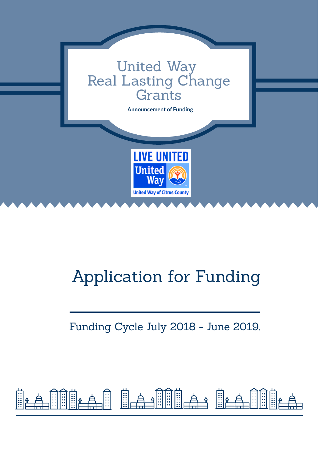

## Application for Funding

### Funding Cycle July 2018 - June 2019.

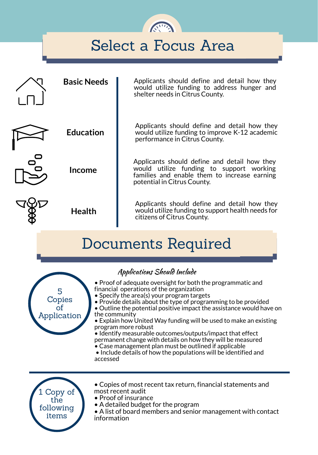### Select a Focus Area

| <b>Basic Needs</b> | Applicants should define and detail how they<br>would utilize funding to address hunger and<br>shelter needs in Citrus County.                                          |
|--------------------|-------------------------------------------------------------------------------------------------------------------------------------------------------------------------|
| <b>Education</b>   | Applicants should define and detail how they<br>would utilize funding to improve K-12 academic<br>performance in Citrus County.                                         |
| <b>Income</b>      | Applicants should define and detail how they<br>would utilize funding to support working<br>families and enable them to increase earning<br>potential in Citrus County. |
| <b>Health</b>      | Applicants should define and detail how they<br>would utilize funding to support health needs for<br>citizens of Citrus County.                                         |

### Documents Required



#### Applications Should Include

- Proof of adequate oversight for both the programmatic and financial operations of the organization
- Specify the area(s) your program targets
- Provide details about the type of programming to be provided
- Outline the potential positive impact the assistance would have on the community
- Explain how United Way funding will be used to make an existing program more robust
- Identify measurable outcomes/outputs/impact that effect permanent change with details on how they will be measured
- Case management plan must be outlined if applicable
- Include details of how the populations will be identified and accessed



- Copies of most recent tax return, financial statements and most recent audit
- Proof of insurance
- A detailed budget for the program
- A list of board members and senior management with contact information